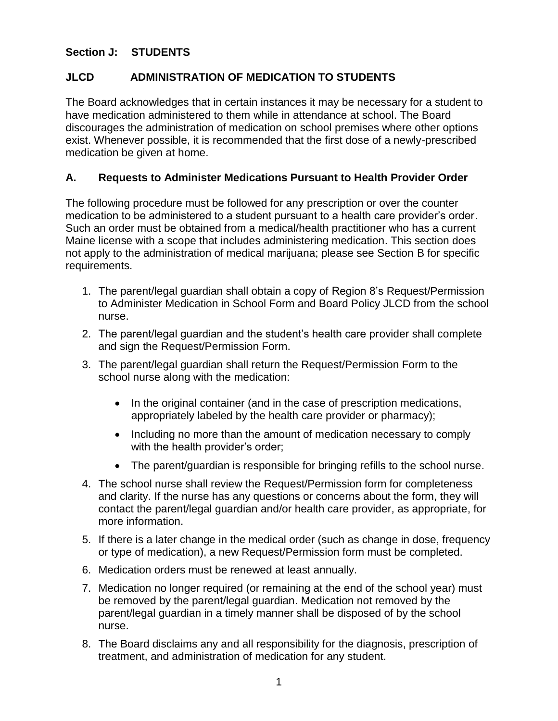#### **Section J: STUDENTS**

### **JLCD ADMINISTRATION OF MEDICATION TO STUDENTS**

The Board acknowledges that in certain instances it may be necessary for a student to have medication administered to them while in attendance at school. The Board discourages the administration of medication on school premises where other options exist. Whenever possible, it is recommended that the first dose of a newly-prescribed medication be given at home.

#### **A. Requests to Administer Medications Pursuant to Health Provider Order**

The following procedure must be followed for any prescription or over the counter medication to be administered to a student pursuant to a health care provider's order. Such an order must be obtained from a medical/health practitioner who has a current Maine license with a scope that includes administering medication. This section does not apply to the administration of medical marijuana; please see Section B for specific requirements.

- 1. The parent/legal guardian shall obtain a copy of Region 8's Request/Permission to Administer Medication in School Form and Board Policy JLCD from the school nurse.
- 2. The parent/legal guardian and the student's health care provider shall complete and sign the Request/Permission Form.
- 3. The parent/legal guardian shall return the Request/Permission Form to the school nurse along with the medication:
	- In the original container (and in the case of prescription medications, appropriately labeled by the health care provider or pharmacy);
	- Including no more than the amount of medication necessary to comply with the health provider's order;
	- The parent/guardian is responsible for bringing refills to the school nurse.
- 4. The school nurse shall review the Request/Permission form for completeness and clarity. If the nurse has any questions or concerns about the form, they will contact the parent/legal guardian and/or health care provider, as appropriate, for more information.
- 5. If there is a later change in the medical order (such as change in dose, frequency or type of medication), a new Request/Permission form must be completed.
- 6. Medication orders must be renewed at least annually.
- 7. Medication no longer required (or remaining at the end of the school year) must be removed by the parent/legal guardian. Medication not removed by the parent/legal guardian in a timely manner shall be disposed of by the school nurse.
- 8. The Board disclaims any and all responsibility for the diagnosis, prescription of treatment, and administration of medication for any student.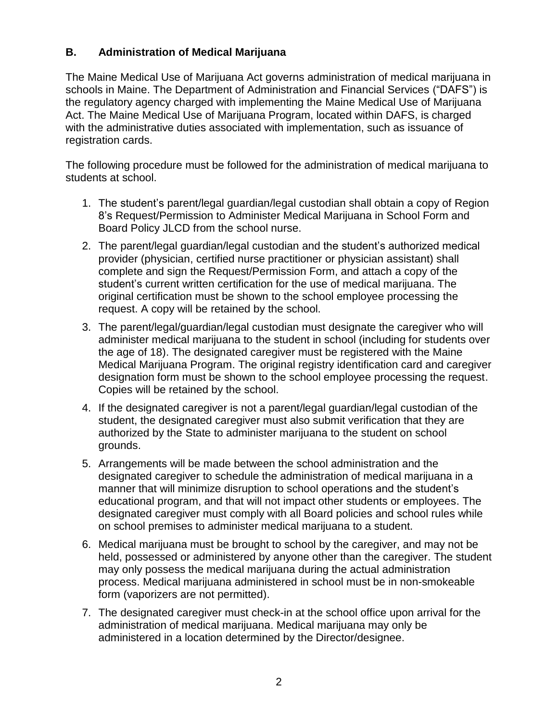## **B. Administration of Medical Marijuana**

The Maine Medical Use of Marijuana Act governs administration of medical marijuana in schools in Maine. The Department of Administration and Financial Services ("DAFS") is the regulatory agency charged with implementing the Maine Medical Use of Marijuana Act. The Maine Medical Use of Marijuana Program, located within DAFS, is charged with the administrative duties associated with implementation, such as issuance of registration cards.

The following procedure must be followed for the administration of medical marijuana to students at school.

- 1. The student's parent/legal guardian/legal custodian shall obtain a copy of Region 8's Request/Permission to Administer Medical Marijuana in School Form and Board Policy JLCD from the school nurse.
- 2. The parent/legal guardian/legal custodian and the student's authorized medical provider (physician, certified nurse practitioner or physician assistant) shall complete and sign the Request/Permission Form, and attach a copy of the student's current written certification for the use of medical marijuana. The original certification must be shown to the school employee processing the request. A copy will be retained by the school.
- 3. The parent/legal/guardian/legal custodian must designate the caregiver who will administer medical marijuana to the student in school (including for students over the age of 18). The designated caregiver must be registered with the Maine Medical Marijuana Program. The original registry identification card and caregiver designation form must be shown to the school employee processing the request. Copies will be retained by the school.
- 4. If the designated caregiver is not a parent/legal guardian/legal custodian of the student, the designated caregiver must also submit verification that they are authorized by the State to administer marijuana to the student on school grounds.
- 5. Arrangements will be made between the school administration and the designated caregiver to schedule the administration of medical marijuana in a manner that will minimize disruption to school operations and the student's educational program, and that will not impact other students or employees. The designated caregiver must comply with all Board policies and school rules while on school premises to administer medical marijuana to a student.
- 6. Medical marijuana must be brought to school by the caregiver, and may not be held, possessed or administered by anyone other than the caregiver. The student may only possess the medical marijuana during the actual administration process. Medical marijuana administered in school must be in non-smokeable form (vaporizers are not permitted).
- 7. The designated caregiver must check-in at the school office upon arrival for the administration of medical marijuana. Medical marijuana may only be administered in a location determined by the Director/designee.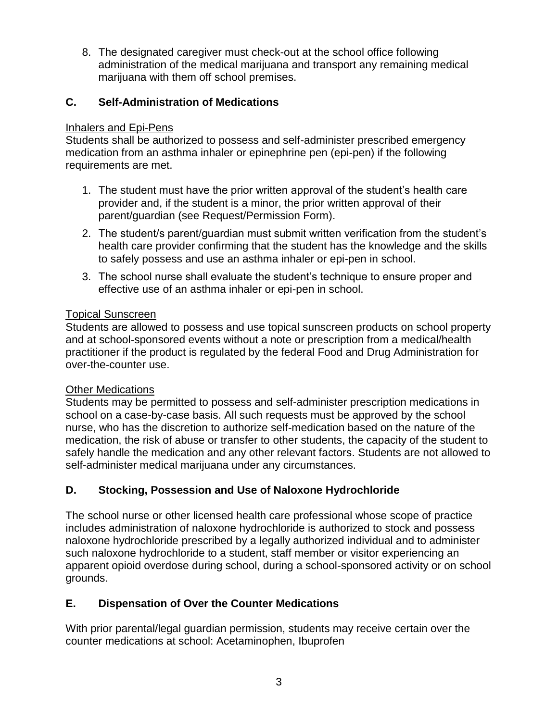8. The designated caregiver must check-out at the school office following administration of the medical marijuana and transport any remaining medical marijuana with them off school premises.

## **C. Self-Administration of Medications**

#### Inhalers and Epi-Pens

Students shall be authorized to possess and self-administer prescribed emergency medication from an asthma inhaler or epinephrine pen (epi-pen) if the following requirements are met.

- 1. The student must have the prior written approval of the student's health care provider and, if the student is a minor, the prior written approval of their parent/guardian (see Request/Permission Form).
- 2. The student/s parent/guardian must submit written verification from the student's health care provider confirming that the student has the knowledge and the skills to safely possess and use an asthma inhaler or epi-pen in school.
- 3. The school nurse shall evaluate the student's technique to ensure proper and effective use of an asthma inhaler or epi-pen in school.

#### Topical Sunscreen

Students are allowed to possess and use topical sunscreen products on school property and at school-sponsored events without a note or prescription from a medical/health practitioner if the product is regulated by the federal Food and Drug Administration for over-the-counter use.

#### Other Medications

Students may be permitted to possess and self-administer prescription medications in school on a case-by-case basis. All such requests must be approved by the school nurse, who has the discretion to authorize self-medication based on the nature of the medication, the risk of abuse or transfer to other students, the capacity of the student to safely handle the medication and any other relevant factors. Students are not allowed to self-administer medical marijuana under any circumstances.

# **D. Stocking, Possession and Use of Naloxone Hydrochloride**

The school nurse or other licensed health care professional whose scope of practice includes administration of naloxone hydrochloride is authorized to stock and possess naloxone hydrochloride prescribed by a legally authorized individual and to administer such naloxone hydrochloride to a student, staff member or visitor experiencing an apparent opioid overdose during school, during a school-sponsored activity or on school grounds.

# **E. Dispensation of Over the Counter Medications**

With prior parental/legal guardian permission, students may receive certain over the counter medications at school: Acetaminophen, Ibuprofen